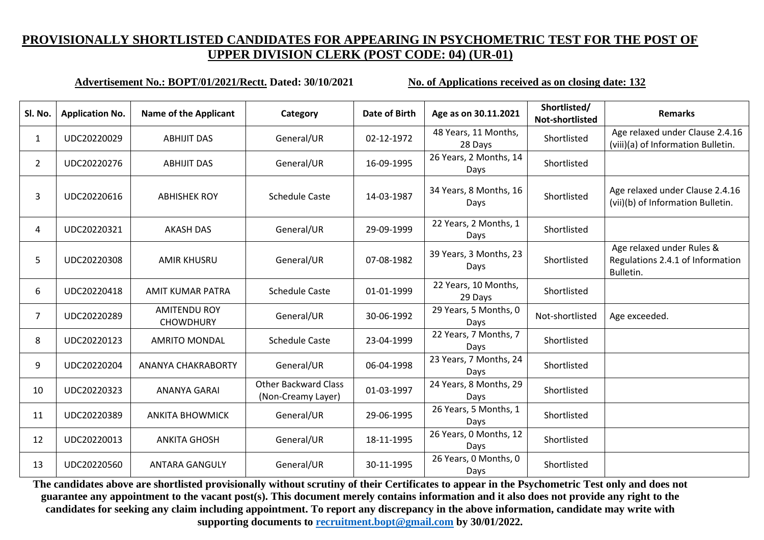#### **Advertisement No.: BOPT/01/2021/Rectt. Dated: 30/10/2021 No. of Applications received as on closing date: 132**

| Sl. No.        | <b>Application No.</b> | <b>Name of the Applicant</b>            | Category                                          | Date of Birth | Age as on 30.11.2021            | Shortlisted/<br>Not-shortlisted | <b>Remarks</b>                                                             |
|----------------|------------------------|-----------------------------------------|---------------------------------------------------|---------------|---------------------------------|---------------------------------|----------------------------------------------------------------------------|
| 1              | UDC20220029            | <b>ABHIJIT DAS</b>                      | General/UR                                        | 02-12-1972    | 48 Years, 11 Months,<br>28 Days | Shortlisted                     | Age relaxed under Clause 2.4.16<br>(viii)(a) of Information Bulletin.      |
| $\overline{2}$ | UDC20220276            | <b>ABHIJIT DAS</b>                      | General/UR                                        | 16-09-1995    | 26 Years, 2 Months, 14<br>Days  | Shortlisted                     |                                                                            |
| 3              | UDC20220616            | <b>ABHISHEK ROY</b>                     | <b>Schedule Caste</b>                             | 14-03-1987    | 34 Years, 8 Months, 16<br>Days  | Shortlisted                     | Age relaxed under Clause 2.4.16<br>(vii)(b) of Information Bulletin.       |
| 4              | UDC20220321            | <b>AKASH DAS</b>                        | General/UR                                        | 29-09-1999    | 22 Years, 2 Months, 1<br>Days   | Shortlisted                     |                                                                            |
| 5              | UDC20220308            | <b>AMIR KHUSRU</b>                      | General/UR                                        | 07-08-1982    | 39 Years, 3 Months, 23<br>Days  | Shortlisted                     | Age relaxed under Rules &<br>Regulations 2.4.1 of Information<br>Bulletin. |
| 6              | UDC20220418            | <b>AMIT KUMAR PATRA</b>                 | <b>Schedule Caste</b>                             | 01-01-1999    | 22 Years, 10 Months,<br>29 Days | Shortlisted                     |                                                                            |
| $\overline{7}$ | UDC20220289            | <b>AMITENDU ROY</b><br><b>CHOWDHURY</b> | General/UR                                        | 30-06-1992    | 29 Years, 5 Months, 0<br>Days   | Not-shortlisted                 | Age exceeded.                                                              |
| 8              | UDC20220123            | <b>AMRITO MONDAL</b>                    | <b>Schedule Caste</b>                             | 23-04-1999    | 22 Years, 7 Months, 7<br>Days   | Shortlisted                     |                                                                            |
| 9              | UDC20220204            | ANANYA CHAKRABORTY                      | General/UR                                        | 06-04-1998    | 23 Years, 7 Months, 24<br>Days  | Shortlisted                     |                                                                            |
| 10             | UDC20220323            | <b>ANANYA GARAI</b>                     | <b>Other Backward Class</b><br>(Non-Creamy Layer) | 01-03-1997    | 24 Years, 8 Months, 29<br>Days  | Shortlisted                     |                                                                            |
| 11             | UDC20220389            | <b>ANKITA BHOWMICK</b>                  | General/UR                                        | 29-06-1995    | 26 Years, 5 Months, 1<br>Days   | Shortlisted                     |                                                                            |
| 12             | UDC20220013            | <b>ANKITA GHOSH</b>                     | General/UR                                        | 18-11-1995    | 26 Years, 0 Months, 12<br>Days  | Shortlisted                     |                                                                            |
| 13             | UDC20220560            | <b>ANTARA GANGULY</b>                   | General/UR                                        | 30-11-1995    | 26 Years, 0 Months, 0<br>Days   | Shortlisted                     |                                                                            |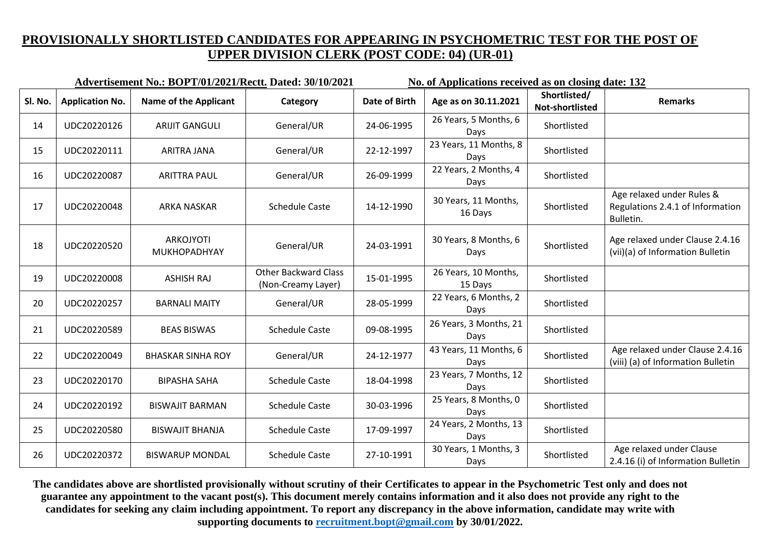|         |                        | Advertisement No.: BOPT/01/2021/Rectt. Dated: 30/10/2021 |                                                   | No. of Applications received as on closing date: 132 |                                 |                                 |                                                                            |
|---------|------------------------|----------------------------------------------------------|---------------------------------------------------|------------------------------------------------------|---------------------------------|---------------------------------|----------------------------------------------------------------------------|
| Sl. No. | <b>Application No.</b> | <b>Name of the Applicant</b>                             | Category                                          | <b>Date of Birth</b>                                 | Age as on 30.11.2021            | Shortlisted/<br>Not-shortlisted | <b>Remarks</b>                                                             |
| 14      | UDC20220126            | <b>ARIJIT GANGULI</b>                                    | General/UR                                        | 24-06-1995                                           | 26 Years, 5 Months, 6<br>Days   | Shortlisted                     |                                                                            |
| 15      | UDC20220111            | <b>ARITRA JANA</b>                                       | General/UR                                        | 22-12-1997                                           | 23 Years, 11 Months, 8<br>Days  | Shortlisted                     |                                                                            |
| 16      | UDC20220087            | <b>ARITTRA PAUL</b>                                      | General/UR                                        | 26-09-1999                                           | 22 Years, 2 Months, 4<br>Days   | Shortlisted                     |                                                                            |
| 17      | UDC20220048            | <b>ARKA NASKAR</b>                                       | <b>Schedule Caste</b>                             | 14-12-1990                                           | 30 Years, 11 Months,<br>16 Days | Shortlisted                     | Age relaxed under Rules &<br>Regulations 2.4.1 of Information<br>Bulletin. |
| 18      | UDC20220520            | <b>ARKOJYOTI</b><br>MUKHOPADHYAY                         | General/UR                                        | 24-03-1991                                           | 30 Years, 8 Months, 6<br>Days   | Shortlisted                     | Age relaxed under Clause 2.4.16<br>(vii)(a) of Information Bulletin        |
| 19      | UDC20220008            | <b>ASHISH RAJ</b>                                        | <b>Other Backward Class</b><br>(Non-Creamy Layer) | 15-01-1995                                           | 26 Years, 10 Months,<br>15 Days | Shortlisted                     |                                                                            |
| 20      | UDC20220257            | <b>BARNALI MAITY</b>                                     | General/UR                                        | 28-05-1999                                           | 22 Years, 6 Months, 2<br>Days   | Shortlisted                     |                                                                            |
| 21      | UDC20220589            | <b>BEAS BISWAS</b>                                       | <b>Schedule Caste</b>                             | 09-08-1995                                           | 26 Years, 3 Months, 21<br>Days  | Shortlisted                     |                                                                            |
| 22      | UDC20220049            | <b>BHASKAR SINHA ROY</b>                                 | General/UR                                        | 24-12-1977                                           | 43 Years, 11 Months, 6<br>Days  | Shortlisted                     | Age relaxed under Clause 2.4.16<br>(viii) (a) of Information Bulletin      |
| 23      | UDC20220170            | <b>BIPASHA SAHA</b>                                      | <b>Schedule Caste</b>                             | 18-04-1998                                           | 23 Years, 7 Months, 12<br>Days  | Shortlisted                     |                                                                            |
| 24      | UDC20220192            | <b>BISWAJIT BARMAN</b>                                   | <b>Schedule Caste</b>                             | 30-03-1996                                           | 25 Years, 8 Months, 0<br>Days   | Shortlisted                     |                                                                            |
| 25      | UDC20220580            | <b>BISWAJIT BHANJA</b>                                   | <b>Schedule Caste</b>                             | 17-09-1997                                           | 24 Years, 2 Months, 13<br>Days  | Shortlisted                     |                                                                            |
| 26      | UDC20220372            | <b>BISWARUP MONDAL</b>                                   | <b>Schedule Caste</b>                             | 27-10-1991                                           | 30 Years, 1 Months, 3<br>Days   | Shortlisted                     | Age relaxed under Clause<br>2.4.16 (i) of Information Bulletin             |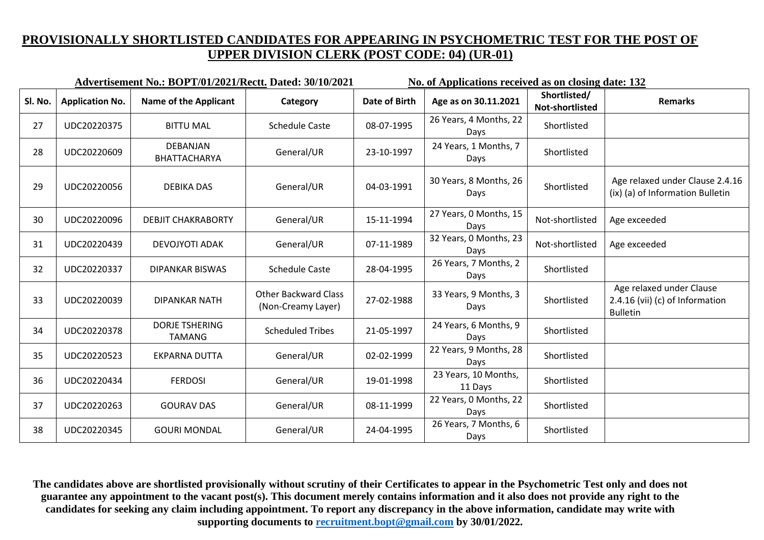|         |                        | Advertisement No.: BOPT/01/2021/Rectt. Dated: 30/10/2021 |                                                   | No. of Applications received as on closing date: 132 |                                 |                                 |                                                                                |
|---------|------------------------|----------------------------------------------------------|---------------------------------------------------|------------------------------------------------------|---------------------------------|---------------------------------|--------------------------------------------------------------------------------|
| Sl. No. | <b>Application No.</b> | <b>Name of the Applicant</b>                             | Category                                          | <b>Date of Birth</b>                                 | Age as on 30.11.2021            | Shortlisted/<br>Not-shortlisted | <b>Remarks</b>                                                                 |
| 27      | UDC20220375            | <b>BITTU MAL</b>                                         | <b>Schedule Caste</b>                             | 08-07-1995                                           | 26 Years, 4 Months, 22<br>Days  | Shortlisted                     |                                                                                |
| 28      | UDC20220609            | DEBANJAN<br>BHATTACHARYA                                 | General/UR                                        | 23-10-1997                                           | 24 Years, 1 Months, 7<br>Days   | Shortlisted                     |                                                                                |
| 29      | UDC20220056            | <b>DEBIKA DAS</b>                                        | General/UR                                        | 04-03-1991                                           | 30 Years, 8 Months, 26<br>Days  | Shortlisted                     | Age relaxed under Clause 2.4.16<br>(ix) (a) of Information Bulletin            |
| 30      | UDC20220096            | <b>DEBJIT CHAKRABORTY</b>                                | General/UR                                        | 15-11-1994                                           | 27 Years, 0 Months, 15<br>Days  | Not-shortlisted                 | Age exceeded                                                                   |
| 31      | UDC20220439            | DEVOJYOTI ADAK                                           | General/UR                                        | 07-11-1989                                           | 32 Years, 0 Months, 23<br>Days  | Not-shortlisted                 | Age exceeded                                                                   |
| 32      | UDC20220337            | <b>DIPANKAR BISWAS</b>                                   | <b>Schedule Caste</b>                             | 28-04-1995                                           | 26 Years, 7 Months, 2<br>Days   | Shortlisted                     |                                                                                |
| 33      | UDC20220039            | <b>DIPANKAR NATH</b>                                     | <b>Other Backward Class</b><br>(Non-Creamy Layer) | 27-02-1988                                           | 33 Years, 9 Months, 3<br>Days   | Shortlisted                     | Age relaxed under Clause<br>2.4.16 (vii) (c) of Information<br><b>Bulletin</b> |
| 34      | UDC20220378            | <b>DORJE TSHERING</b><br><b>TAMANG</b>                   | <b>Scheduled Tribes</b>                           | 21-05-1997                                           | 24 Years, 6 Months, 9<br>Days   | Shortlisted                     |                                                                                |
| 35      | UDC20220523            | <b>EKPARNA DUTTA</b>                                     | General/UR                                        | 02-02-1999                                           | 22 Years, 9 Months, 28<br>Days  | Shortlisted                     |                                                                                |
| 36      | UDC20220434            | <b>FERDOSI</b>                                           | General/UR                                        | 19-01-1998                                           | 23 Years, 10 Months,<br>11 Days | Shortlisted                     |                                                                                |
| 37      | UDC20220263            | <b>GOURAV DAS</b>                                        | General/UR                                        | 08-11-1999                                           | 22 Years, 0 Months, 22<br>Days  | Shortlisted                     |                                                                                |
| 38      | UDC20220345            | <b>GOURI MONDAL</b>                                      | General/UR                                        | 24-04-1995                                           | 26 Years, 7 Months, 6<br>Days   | Shortlisted                     |                                                                                |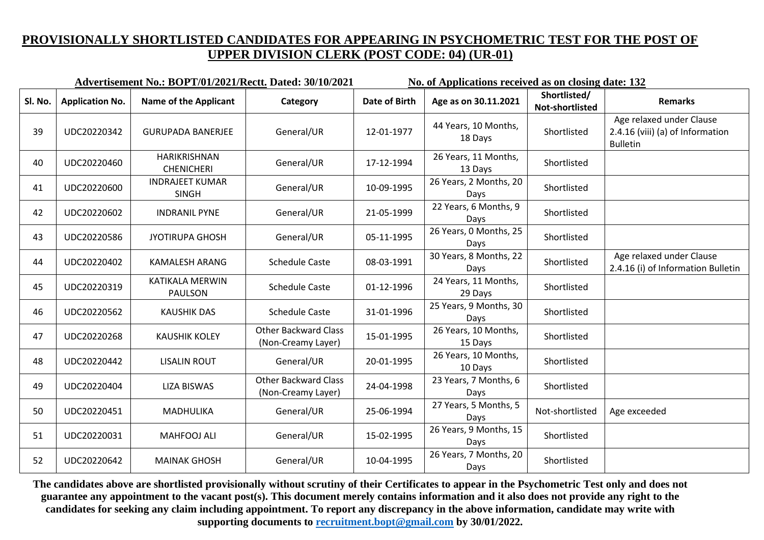|         |                        | Advertisement No.: BOPT/01/2021/Rectt. Dated: 30/10/2021 |                                                   | No. of Applications received as on closing date: 132 |                                 |                                 |                                                                                 |
|---------|------------------------|----------------------------------------------------------|---------------------------------------------------|------------------------------------------------------|---------------------------------|---------------------------------|---------------------------------------------------------------------------------|
| Sl. No. | <b>Application No.</b> | <b>Name of the Applicant</b>                             | Category                                          | <b>Date of Birth</b>                                 | Age as on 30.11.2021            | Shortlisted/<br>Not-shortlisted | <b>Remarks</b>                                                                  |
| 39      | UDC20220342            | <b>GURUPADA BANERJEE</b>                                 | General/UR                                        | 12-01-1977                                           | 44 Years, 10 Months,<br>18 Days | Shortlisted                     | Age relaxed under Clause<br>2.4.16 (viii) (a) of Information<br><b>Bulletin</b> |
| 40      | UDC20220460            | <b>HARIKRISHNAN</b><br><b>CHENICHERI</b>                 | General/UR                                        | 17-12-1994                                           | 26 Years, 11 Months,<br>13 Days | Shortlisted                     |                                                                                 |
| 41      | UDC20220600            | <b>INDRAJEET KUMAR</b><br><b>SINGH</b>                   | General/UR                                        | 10-09-1995                                           | 26 Years, 2 Months, 20<br>Days  | Shortlisted                     |                                                                                 |
| 42      | UDC20220602            | <b>INDRANIL PYNE</b>                                     | General/UR                                        | 21-05-1999                                           | 22 Years, 6 Months, 9<br>Days   | Shortlisted                     |                                                                                 |
| 43      | UDC20220586            | <b>JYOTIRUPA GHOSH</b>                                   | General/UR                                        | 05-11-1995                                           | 26 Years, 0 Months, 25<br>Days  | Shortlisted                     |                                                                                 |
| 44      | UDC20220402            | <b>KAMALESH ARANG</b>                                    | <b>Schedule Caste</b>                             | 08-03-1991                                           | 30 Years, 8 Months, 22<br>Days  | Shortlisted                     | Age relaxed under Clause<br>2.4.16 (i) of Information Bulletin                  |
| 45      | UDC20220319            | <b>KATIKALA MERWIN</b><br><b>PAULSON</b>                 | <b>Schedule Caste</b>                             | 01-12-1996                                           | 24 Years, 11 Months,<br>29 Days | Shortlisted                     |                                                                                 |
| 46      | UDC20220562            | <b>KAUSHIK DAS</b>                                       | <b>Schedule Caste</b>                             | 31-01-1996                                           | 25 Years, 9 Months, 30<br>Days  | Shortlisted                     |                                                                                 |
| 47      | UDC20220268            | <b>KAUSHIK KOLEY</b>                                     | <b>Other Backward Class</b><br>(Non-Creamy Layer) | 15-01-1995                                           | 26 Years, 10 Months,<br>15 Days | Shortlisted                     |                                                                                 |
| 48      | UDC20220442            | <b>LISALIN ROUT</b>                                      | General/UR                                        | 20-01-1995                                           | 26 Years, 10 Months,<br>10 Days | Shortlisted                     |                                                                                 |
| 49      | UDC20220404            | LIZA BISWAS                                              | <b>Other Backward Class</b><br>(Non-Creamy Layer) | 24-04-1998                                           | 23 Years, 7 Months, 6<br>Days   | Shortlisted                     |                                                                                 |
| 50      | UDC20220451            | MADHULIKA                                                | General/UR                                        | 25-06-1994                                           | 27 Years, 5 Months, 5<br>Days   | Not-shortlisted                 | Age exceeded                                                                    |
| 51      | UDC20220031            | <b>MAHFOOJ ALI</b>                                       | General/UR                                        | 15-02-1995                                           | 26 Years, 9 Months, 15<br>Days  | Shortlisted                     |                                                                                 |
| 52      | UDC20220642            | <b>MAINAK GHOSH</b>                                      | General/UR                                        | 10-04-1995                                           | 26 Years, 7 Months, 20<br>Days  | Shortlisted                     |                                                                                 |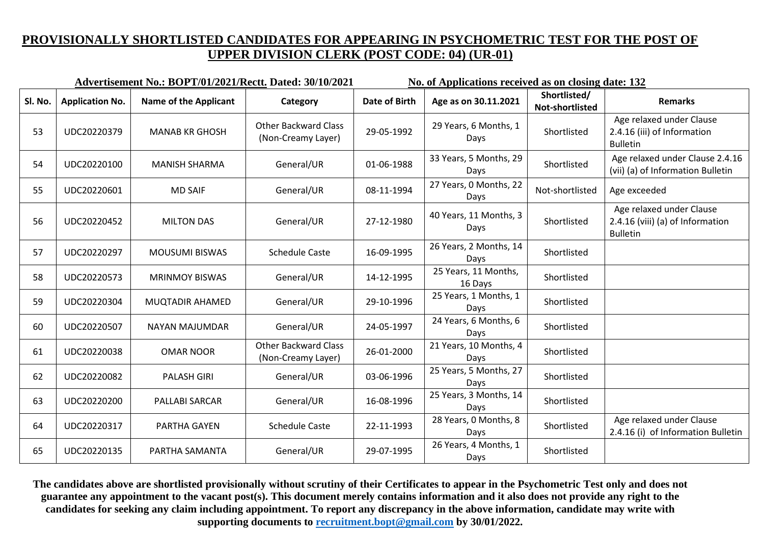|         |                        | <b>Advertisement No.: BOPT/01/2021/Rectt. Dated: 30/10/2021</b> |                                                   | No. of Applications received as on closing date: 132 |                                 |                                 |                                                                                 |
|---------|------------------------|-----------------------------------------------------------------|---------------------------------------------------|------------------------------------------------------|---------------------------------|---------------------------------|---------------------------------------------------------------------------------|
| Sl. No. | <b>Application No.</b> | <b>Name of the Applicant</b>                                    | Category                                          | <b>Date of Birth</b>                                 | Age as on 30.11.2021            | Shortlisted/<br>Not-shortlisted | <b>Remarks</b>                                                                  |
| 53      | UDC20220379            | <b>MANAB KR GHOSH</b>                                           | <b>Other Backward Class</b><br>(Non-Creamy Layer) | 29-05-1992                                           | 29 Years, 6 Months, 1<br>Days   | Shortlisted                     | Age relaxed under Clause<br>2.4.16 (iii) of Information<br><b>Bulletin</b>      |
| 54      | UDC20220100            | <b>MANISH SHARMA</b>                                            | General/UR                                        | 01-06-1988                                           | 33 Years, 5 Months, 29<br>Days  | Shortlisted                     | Age relaxed under Clause 2.4.16<br>(vii) (a) of Information Bulletin            |
| 55      | UDC20220601            | <b>MD SAIF</b>                                                  | General/UR                                        | 08-11-1994                                           | 27 Years, 0 Months, 22<br>Days  | Not-shortlisted                 | Age exceeded                                                                    |
| 56      | UDC20220452            | <b>MILTON DAS</b>                                               | General/UR                                        | 27-12-1980                                           | 40 Years, 11 Months, 3<br>Days  | Shortlisted                     | Age relaxed under Clause<br>2.4.16 (viii) (a) of Information<br><b>Bulletin</b> |
| 57      | UDC20220297            | <b>MOUSUMI BISWAS</b>                                           | <b>Schedule Caste</b>                             | 16-09-1995                                           | 26 Years, 2 Months, 14<br>Days  | Shortlisted                     |                                                                                 |
| 58      | UDC20220573            | <b>MRINMOY BISWAS</b>                                           | General/UR                                        | 14-12-1995                                           | 25 Years, 11 Months,<br>16 Days | Shortlisted                     |                                                                                 |
| 59      | UDC20220304            | <b>MUQTADIR AHAMED</b>                                          | General/UR                                        | 29-10-1996                                           | 25 Years, 1 Months, 1<br>Days   | Shortlisted                     |                                                                                 |
| 60      | UDC20220507            | NAYAN MAJUMDAR                                                  | General/UR                                        | 24-05-1997                                           | 24 Years, 6 Months, 6<br>Days   | Shortlisted                     |                                                                                 |
| 61      | UDC20220038            | <b>OMAR NOOR</b>                                                | <b>Other Backward Class</b><br>(Non-Creamy Layer) | 26-01-2000                                           | 21 Years, 10 Months, 4<br>Days  | Shortlisted                     |                                                                                 |
| 62      | UDC20220082            | <b>PALASH GIRI</b>                                              | General/UR                                        | 03-06-1996                                           | 25 Years, 5 Months, 27<br>Days  | Shortlisted                     |                                                                                 |
| 63      | UDC20220200            | PALLABI SARCAR                                                  | General/UR                                        | 16-08-1996                                           | 25 Years, 3 Months, 14<br>Days  | Shortlisted                     |                                                                                 |
| 64      | UDC20220317            | PARTHA GAYEN                                                    | <b>Schedule Caste</b>                             | 22-11-1993                                           | 28 Years, 0 Months, 8<br>Days   | Shortlisted                     | Age relaxed under Clause<br>2.4.16 (i) of Information Bulletin                  |
| 65      | UDC20220135            | PARTHA SAMANTA                                                  | General/UR                                        | 29-07-1995                                           | 26 Years, 4 Months, 1<br>Days   | Shortlisted                     |                                                                                 |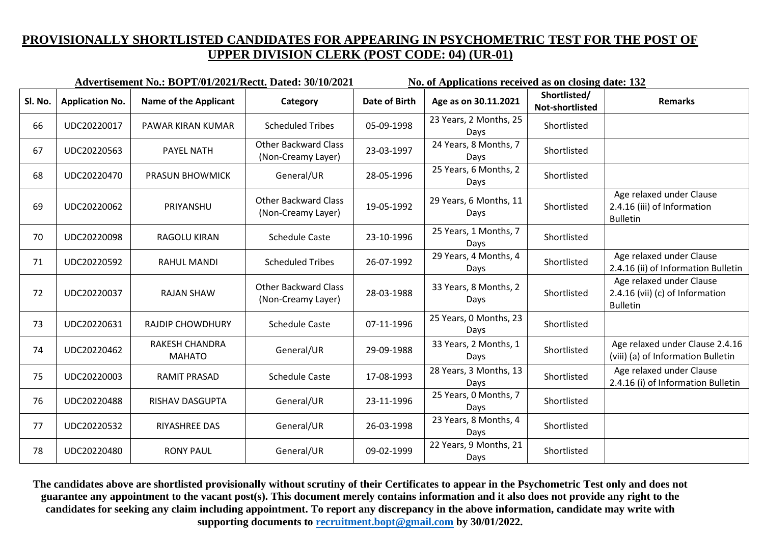|         |                        | Advertisement No.: BOPT/01/2021/Rectt. Dated: 30/10/2021 |                                                   | No. of Applications received as on closing date: 132 |                                |                                 |                                                                                |
|---------|------------------------|----------------------------------------------------------|---------------------------------------------------|------------------------------------------------------|--------------------------------|---------------------------------|--------------------------------------------------------------------------------|
| Sl. No. | <b>Application No.</b> | <b>Name of the Applicant</b>                             | Category                                          | Date of Birth                                        | Age as on 30.11.2021           | Shortlisted/<br>Not-shortlisted | <b>Remarks</b>                                                                 |
| 66      | UDC20220017            | PAWAR KIRAN KUMAR                                        | <b>Scheduled Tribes</b>                           | 05-09-1998                                           | 23 Years, 2 Months, 25<br>Days | Shortlisted                     |                                                                                |
| 67      | UDC20220563            | <b>PAYEL NATH</b>                                        | <b>Other Backward Class</b><br>(Non-Creamy Layer) | 23-03-1997                                           | 24 Years, 8 Months, 7<br>Days  | Shortlisted                     |                                                                                |
| 68      | UDC20220470            | <b>PRASUN BHOWMICK</b>                                   | General/UR                                        | 28-05-1996                                           | 25 Years, 6 Months, 2<br>Days  | Shortlisted                     |                                                                                |
| 69      | UDC20220062            | PRIYANSHU                                                | <b>Other Backward Class</b><br>(Non-Creamy Layer) | 19-05-1992                                           | 29 Years, 6 Months, 11<br>Days | Shortlisted                     | Age relaxed under Clause<br>2.4.16 (iii) of Information<br><b>Bulletin</b>     |
| 70      | UDC20220098            | RAGOLU KIRAN                                             | <b>Schedule Caste</b>                             | 23-10-1996                                           | 25 Years, 1 Months, 7<br>Days  | Shortlisted                     |                                                                                |
| 71      | UDC20220592            | RAHUL MANDI                                              | <b>Scheduled Tribes</b>                           | 26-07-1992                                           | 29 Years, 4 Months, 4<br>Days  | Shortlisted                     | Age relaxed under Clause<br>2.4.16 (ii) of Information Bulletin                |
| 72      | UDC20220037            | <b>RAJAN SHAW</b>                                        | <b>Other Backward Class</b><br>(Non-Creamy Layer) | 28-03-1988                                           | 33 Years, 8 Months, 2<br>Days  | Shortlisted                     | Age relaxed under Clause<br>2.4.16 (vii) (c) of Information<br><b>Bulletin</b> |
| 73      | UDC20220631            | <b>RAJDIP CHOWDHURY</b>                                  | <b>Schedule Caste</b>                             | 07-11-1996                                           | 25 Years, 0 Months, 23<br>Days | Shortlisted                     |                                                                                |
| 74      | UDC20220462            | RAKESH CHANDRA<br><b>MAHATO</b>                          | General/UR                                        | 29-09-1988                                           | 33 Years, 2 Months, 1<br>Days  | Shortlisted                     | Age relaxed under Clause 2.4.16<br>(viii) (a) of Information Bulletin          |
| 75      | UDC20220003            | <b>RAMIT PRASAD</b>                                      | <b>Schedule Caste</b>                             | 17-08-1993                                           | 28 Years, 3 Months, 13<br>Days | Shortlisted                     | Age relaxed under Clause<br>2.4.16 (i) of Information Bulletin                 |
| 76      | UDC20220488            | RISHAV DASGUPTA                                          | General/UR                                        | 23-11-1996                                           | 25 Years, 0 Months, 7<br>Days  | Shortlisted                     |                                                                                |
| 77      | UDC20220532            | RIYASHREE DAS                                            | General/UR                                        | 26-03-1998                                           | 23 Years, 8 Months, 4<br>Days  | Shortlisted                     |                                                                                |
| 78      | UDC20220480            | <b>RONY PAUL</b>                                         | General/UR                                        | 09-02-1999                                           | 22 Years, 9 Months, 21<br>Days | Shortlisted                     |                                                                                |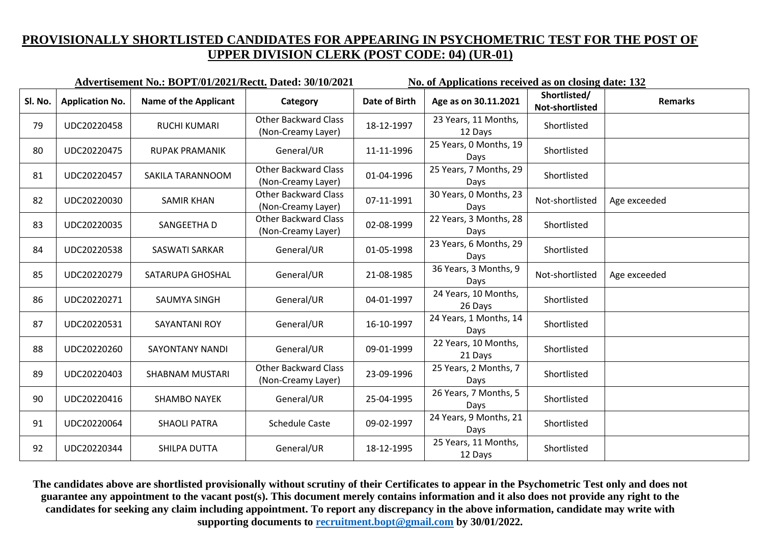**Advertisement No.: BOPT/01/2021/Rectt. Dated: 30/10/2021 No. of Applications received as on closing date: 132 Sl. No. Application No. Name of the Applicant Category Date of Birth Age as on 30.11.2021 Shortlisted/ Shortlisted/ Remarks**<br> **Remarks** <sup>79</sup> UDC20220458 RUCHI KUMARI Other Backward Class Other Backward Class  $(Non-Creamy Layer)$  18-12-1997 23 Years, 11 Months, **Shortlisted** 80 UDC20220475 RUPAK PRAMANIK General/UR 11-11-1996  $25$  Years, 0 Months, 19 Shortlisted 81 UDC20220457 SAKILA TARANNOOM 0ther Backward Class  $(01-04-1996)$  25 Years, 7 Months, 29 Shortlisted 82 UDC20220030 SAMIR KHAN Other Backward Class  $(07-11-1991)$  30 Years, 0 Months, 23 Not-shortlisted  $\vert$  Age exceeded 83 UDC20220035 SANGEETHA D Other Backward Class Other Backward Class  $(Non-Creamy Layer)$  02-08-1999 22 Years, 3 Months, 28 Shortlisted 84 UDC20220538 SASWATI SARKAR General/UR  $\begin{array}{|c|c|c|c|c|c|c|c|}\n\hline\n\text{3 Years, 6 months, 29}\n\end{array}$ 23 Years, 6 Months, 29 Shortlisted 85 UDC20220279 SATARUPA GHOSHAL General/UR  $\begin{array}{|c|c|c|c|c|c|c|c|}\n\hline\n\text{36 Years, 3 Months, 9} \end{array}$ 36 Years, 3 Months, 9 <br>Days Days 86 UDC20220271 SAUMYA SINGH General/UR  $\begin{array}{|c|c|c|c|c|c|c|c|c|}\n\hline\n\text{36} & \text{UDC20220271} & \text{SAUMYA SINGH} & \text{General/UR} & \text{04-01-1997} & \text{24 Years, 10 months,} \\\hline\n\end{array}$ 24 Years, 10 Months,<br>26 Days Shortlisted 87 UDC20220531 SAYANTANI ROY General/UR 16-10-1997  $\begin{array}{|l|l|}\n\hline\n\end{array}$  24 Years, 1 Months, 14 24 Years, 1 Months, 14 Shortlisted <sup>88</sup> UDC20220260 SAYONTANY NANDI General/UR 09-01-1999 22 Years, 10 Months, 22 Years, 10 Months,<br>21 Days Shortlisted <sup>89</sup> UDC20220403 SHABNAM MUSTARI Other Backward Class Other Backward Class 23-09-1996 25 Years, 2 Months, 7<br>(Non-Creamy Layer) 23-09-1996 Days Shortlisted <sup>90</sup> UDC20220416 SHAMBO NAYEK General/UR 25-04-1995 26 Years, 7 Months, 5 26 Years, 7 Months, 5 <br>Days Bays 91 UDC20220064 SHAOLI PATRA Schedule Caste 09-02-1997 24 Years, 9 Months, 21 24 Years, 9 Months, 21 Shortlisted 92 UDC20220344 SHILPA DUTTA General/UR 18-12-1995  $\begin{array}{|l|l|}\n\hline\n\end{array}$  25 Years, 11 Months, 25 Years, 11 Months,<br>12 Days Shortlisted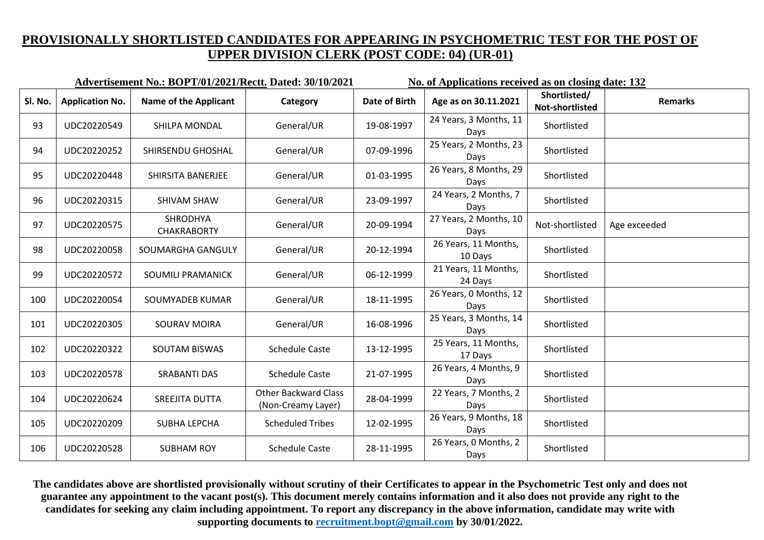|         |                        | Advertisement No.: BOPT/01/2021/Rectt. Dated: 30/10/2021 |                                                   | No. of Applications received as on closing date: 132 |                                 |                                 |                |
|---------|------------------------|----------------------------------------------------------|---------------------------------------------------|------------------------------------------------------|---------------------------------|---------------------------------|----------------|
| Sl. No. | <b>Application No.</b> | <b>Name of the Applicant</b>                             | Category                                          | <b>Date of Birth</b>                                 | Age as on 30.11.2021            | Shortlisted/<br>Not-shortlisted | <b>Remarks</b> |
| 93      | UDC20220549            | SHILPA MONDAL                                            | General/UR                                        | 19-08-1997                                           | 24 Years, 3 Months, 11<br>Days  | Shortlisted                     |                |
| 94      | UDC20220252            | SHIRSENDU GHOSHAL                                        | General/UR                                        | 07-09-1996                                           | 25 Years, 2 Months, 23<br>Days  | Shortlisted                     |                |
| 95      | UDC20220448            | SHIRSITA BANERJEE                                        | General/UR                                        | 01-03-1995                                           | 26 Years, 8 Months, 29<br>Days  | Shortlisted                     |                |
| 96      | UDC20220315            | SHIVAM SHAW                                              | General/UR                                        | 23-09-1997                                           | 24 Years, 2 Months, 7<br>Days   | Shortlisted                     |                |
| 97      | UDC20220575            | SHRODHYA<br><b>CHAKRABORTY</b>                           | General/UR                                        | 20-09-1994                                           | 27 Years, 2 Months, 10<br>Days  | Not-shortlisted                 | Age exceeded   |
| 98      | UDC20220058            | SOUMARGHA GANGULY                                        | General/UR                                        | 20-12-1994                                           | 26 Years, 11 Months,<br>10 Days | Shortlisted                     |                |
| 99      | UDC20220572            | SOUMILI PRAMANICK                                        | General/UR                                        | 06-12-1999                                           | 21 Years, 11 Months,<br>24 Days | Shortlisted                     |                |
| 100     | UDC20220054            | SOUMYADEB KUMAR                                          | General/UR                                        | 18-11-1995                                           | 26 Years, 0 Months, 12<br>Days  | Shortlisted                     |                |
| 101     | UDC20220305            | <b>SOURAV MOIRA</b>                                      | General/UR                                        | 16-08-1996                                           | 25 Years, 3 Months, 14<br>Days  | Shortlisted                     |                |
| 102     | UDC20220322            | <b>SOUTAM BISWAS</b>                                     | <b>Schedule Caste</b>                             | 13-12-1995                                           | 25 Years, 11 Months,<br>17 Days | Shortlisted                     |                |
| 103     | UDC20220578            | <b>SRABANTI DAS</b>                                      | <b>Schedule Caste</b>                             | 21-07-1995                                           | 26 Years, 4 Months, 9<br>Days   | Shortlisted                     |                |
| 104     | UDC20220624            | SREEJITA DUTTA                                           | <b>Other Backward Class</b><br>(Non-Creamy Layer) | 28-04-1999                                           | 22 Years, 7 Months, 2<br>Days   | Shortlisted                     |                |
| 105     | UDC20220209            | <b>SUBHA LEPCHA</b>                                      | <b>Scheduled Tribes</b>                           | 12-02-1995                                           | 26 Years, 9 Months, 18<br>Days  | Shortlisted                     |                |
| 106     | UDC20220528            | <b>SUBHAM ROY</b>                                        | <b>Schedule Caste</b>                             | 28-11-1995                                           | 26 Years, 0 Months, 2<br>Days   | Shortlisted                     |                |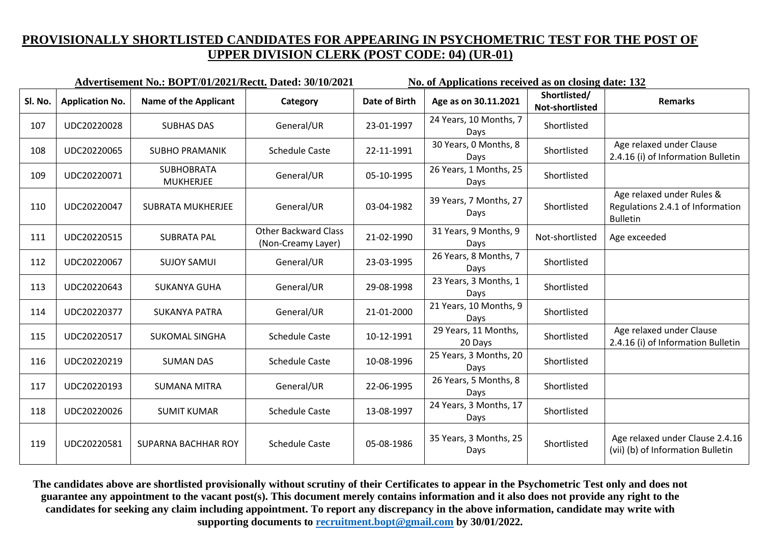|         |                        | Advertisement No.: BOPT/01/2021/Rectt. Dated: 30/10/2021 |                                                   | No. of Applications received as on closing date: 132 |                                 |                                 |                                                                                  |  |
|---------|------------------------|----------------------------------------------------------|---------------------------------------------------|------------------------------------------------------|---------------------------------|---------------------------------|----------------------------------------------------------------------------------|--|
| Sl. No. | <b>Application No.</b> | <b>Name of the Applicant</b>                             | Category                                          | <b>Date of Birth</b>                                 | Age as on 30.11.2021            | Shortlisted/<br>Not-shortlisted | <b>Remarks</b>                                                                   |  |
| 107     | UDC20220028            | <b>SUBHAS DAS</b>                                        | General/UR                                        | 23-01-1997                                           | 24 Years, 10 Months, 7<br>Days  | Shortlisted                     |                                                                                  |  |
| 108     | UDC20220065            | <b>SUBHO PRAMANIK</b>                                    | <b>Schedule Caste</b>                             | 22-11-1991                                           | 30 Years, 0 Months, 8<br>Days   | Shortlisted                     | Age relaxed under Clause<br>2.4.16 (i) of Information Bulletin                   |  |
| 109     | UDC20220071            | <b>SUBHOBRATA</b><br><b>MUKHERJEE</b>                    | General/UR                                        | 05-10-1995                                           | 26 Years, 1 Months, 25<br>Days  | Shortlisted                     |                                                                                  |  |
| 110     | UDC20220047            | <b>SUBRATA MUKHERJEE</b>                                 | General/UR                                        | 03-04-1982                                           | 39 Years, 7 Months, 27<br>Days  | Shortlisted                     | Age relaxed under Rules &<br>Regulations 2.4.1 of Information<br><b>Bulletin</b> |  |
| 111     | UDC20220515            | <b>SUBRATA PAL</b>                                       | <b>Other Backward Class</b><br>(Non-Creamy Layer) | 21-02-1990                                           | 31 Years, 9 Months, 9<br>Days   | Not-shortlisted                 | Age exceeded                                                                     |  |
| 112     | UDC20220067            | <b>SUJOY SAMUI</b>                                       | General/UR                                        | 23-03-1995                                           | 26 Years, 8 Months, 7<br>Days   | Shortlisted                     |                                                                                  |  |
| 113     | UDC20220643            | <b>SUKANYA GUHA</b>                                      | General/UR                                        | 29-08-1998                                           | 23 Years, 3 Months, 1<br>Days   | Shortlisted                     |                                                                                  |  |
| 114     | UDC20220377            | <b>SUKANYA PATRA</b>                                     | General/UR                                        | 21-01-2000                                           | 21 Years, 10 Months, 9<br>Days  | Shortlisted                     |                                                                                  |  |
| 115     | UDC20220517            | <b>SUKOMAL SINGHA</b>                                    | <b>Schedule Caste</b>                             | 10-12-1991                                           | 29 Years, 11 Months,<br>20 Days | Shortlisted                     | Age relaxed under Clause<br>2.4.16 (i) of Information Bulletin                   |  |
| 116     | UDC20220219            | <b>SUMAN DAS</b>                                         | <b>Schedule Caste</b>                             | 10-08-1996                                           | 25 Years, 3 Months, 20<br>Days  | Shortlisted                     |                                                                                  |  |
| 117     | UDC20220193            | <b>SUMANA MITRA</b>                                      | General/UR                                        | 22-06-1995                                           | 26 Years, 5 Months, 8<br>Days   | Shortlisted                     |                                                                                  |  |
| 118     | UDC20220026            | <b>SUMIT KUMAR</b>                                       | <b>Schedule Caste</b>                             | 13-08-1997                                           | 24 Years, 3 Months, 17<br>Days  | Shortlisted                     |                                                                                  |  |
| 119     | UDC20220581            | SUPARNA BACHHAR ROY                                      | <b>Schedule Caste</b>                             | 05-08-1986                                           | 35 Years, 3 Months, 25<br>Days  | Shortlisted                     | Age relaxed under Clause 2.4.16<br>(vii) (b) of Information Bulletin             |  |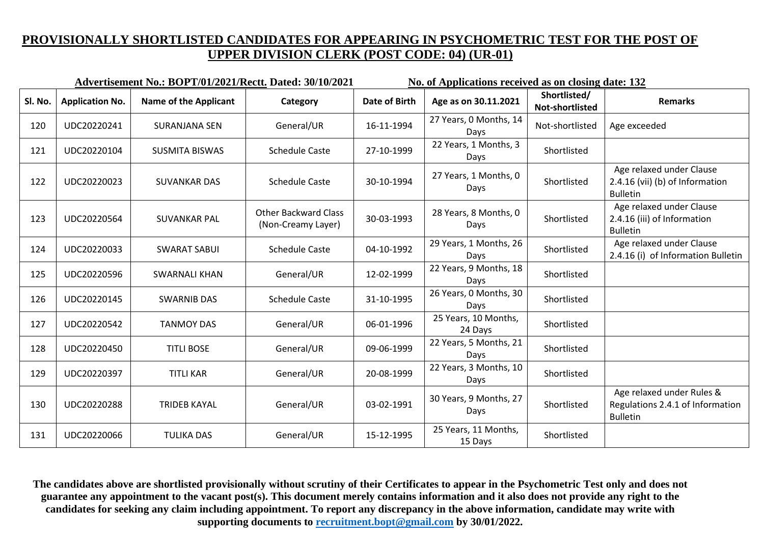|         |                        | Advertisement No.: BOPT/01/2021/Rectt. Dated: 30/10/2021 |                                                   | No. of Applications received as on closing date: 132 |                                 |                                 |                                                                                  |
|---------|------------------------|----------------------------------------------------------|---------------------------------------------------|------------------------------------------------------|---------------------------------|---------------------------------|----------------------------------------------------------------------------------|
| Sl. No. | <b>Application No.</b> | <b>Name of the Applicant</b>                             | Category                                          | <b>Date of Birth</b>                                 | Age as on 30.11.2021            | Shortlisted/<br>Not-shortlisted | <b>Remarks</b>                                                                   |
| 120     | UDC20220241            | <b>SURANJANA SEN</b>                                     | General/UR                                        | 16-11-1994                                           | 27 Years, 0 Months, 14<br>Days  | Not-shortlisted                 | Age exceeded                                                                     |
| 121     | UDC20220104            | <b>SUSMITA BISWAS</b>                                    | <b>Schedule Caste</b>                             | 27-10-1999                                           | 22 Years, 1 Months, 3<br>Days   | Shortlisted                     |                                                                                  |
| 122     | UDC20220023            | <b>SUVANKAR DAS</b>                                      | <b>Schedule Caste</b>                             | 30-10-1994                                           | 27 Years, 1 Months, 0<br>Days   | Shortlisted                     | Age relaxed under Clause<br>2.4.16 (vii) (b) of Information<br><b>Bulletin</b>   |
| 123     | UDC20220564            | <b>SUVANKAR PAL</b>                                      | <b>Other Backward Class</b><br>(Non-Creamy Layer) | 30-03-1993                                           | 28 Years, 8 Months, 0<br>Days   | Shortlisted                     | Age relaxed under Clause<br>2.4.16 (iii) of Information<br><b>Bulletin</b>       |
| 124     | UDC20220033            | <b>SWARAT SABUI</b>                                      | <b>Schedule Caste</b>                             | 04-10-1992                                           | 29 Years, 1 Months, 26<br>Days  | Shortlisted                     | Age relaxed under Clause<br>2.4.16 (i) of Information Bulletin                   |
| 125     | UDC20220596            | SWARNALI KHAN                                            | General/UR                                        | 12-02-1999                                           | 22 Years, 9 Months, 18<br>Days  | Shortlisted                     |                                                                                  |
| 126     | UDC20220145            | <b>SWARNIB DAS</b>                                       | <b>Schedule Caste</b>                             | 31-10-1995                                           | 26 Years, 0 Months, 30<br>Days  | Shortlisted                     |                                                                                  |
| 127     | UDC20220542            | <b>TANMOY DAS</b>                                        | General/UR                                        | 06-01-1996                                           | 25 Years, 10 Months,<br>24 Days | Shortlisted                     |                                                                                  |
| 128     | UDC20220450            | <b>TITLI BOSE</b>                                        | General/UR                                        | 09-06-1999                                           | 22 Years, 5 Months, 21<br>Days  | Shortlisted                     |                                                                                  |
| 129     | UDC20220397            | <b>TITLI KAR</b>                                         | General/UR                                        | 20-08-1999                                           | 22 Years, 3 Months, 10<br>Days  | Shortlisted                     |                                                                                  |
| 130     | UDC20220288            | <b>TRIDEB KAYAL</b>                                      | General/UR                                        | 03-02-1991                                           | 30 Years, 9 Months, 27<br>Days  | Shortlisted                     | Age relaxed under Rules &<br>Regulations 2.4.1 of Information<br><b>Bulletin</b> |
| 131     | UDC20220066            | <b>TULIKA DAS</b>                                        | General/UR                                        | 15-12-1995                                           | 25 Years, 11 Months,<br>15 Days | Shortlisted                     |                                                                                  |